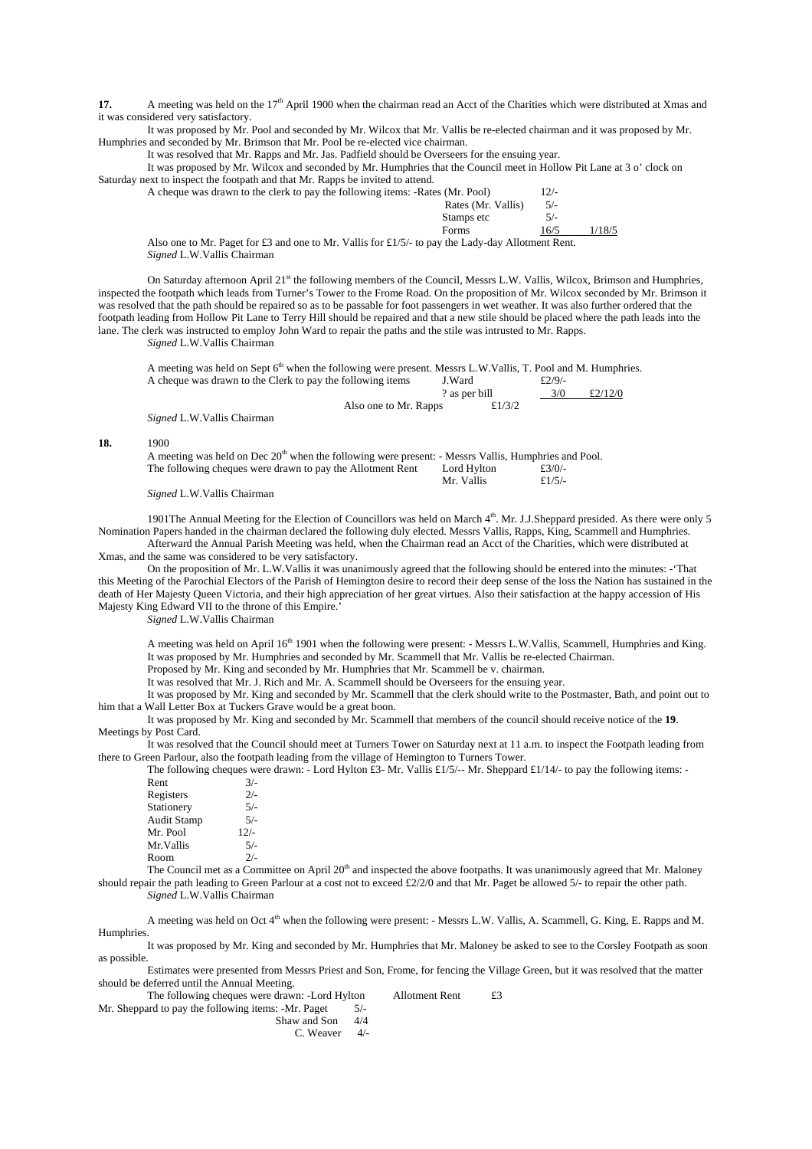**17.** A meeting was held on the 17<sup>th</sup> April 1900 when the chairman read an Acct of the Charities which were distributed at Xmas and it was considered very satisfactory.

It was proposed by Mr. Pool and seconded by Mr. Wilcox that Mr. Vallis be re-elected chairman and it was proposed by Mr. Humphries and seconded by Mr. Brimson that Mr. Pool be re-elected vice chairman.

It was resolved that Mr. Rapps and Mr. Jas. Padfield should be Overseers for the ensuing year.

It was proposed by Mr. Wilcox and seconded by Mr. Humphries that the Council meet in Hollow Pit Lane at 3 o' clock on Saturday next to inspect the footpath and that Mr. Rapps be invited to attend.

| A cheque was drawn to the clerk to pay the following items: -Rates (Mr. Pool)                        |                    | $2/-$ |        |
|------------------------------------------------------------------------------------------------------|--------------------|-------|--------|
|                                                                                                      | Rates (Mr. Vallis) | $5/-$ |        |
|                                                                                                      | Stamps etc         | $5/-$ |        |
|                                                                                                      | Forms              | 16/5  | l/18/5 |
| Also one to Mr. Paget for $f3$ and one to Mr. Vallis for $f1/5/1$ to pay the Lady-day Allotment Rent |                    |       |        |

Also one to Mr. Paget for £3 and one to Mr. Vallis for £1/5/- to pay the Lady-day Allotment Rent. *Signed* L.W.Vallis Chairman

On Saturday afternoon April 21<sup>st</sup> the following members of the Council, Messrs L.W. Vallis, Wilcox, Brimson and Humphries, inspected the footpath which leads from Turner's Tower to the Frome Road. On the proposition of Mr. Wilcox seconded by Mr. Brimson it was resolved that the path should be repaired so as to be passable for foot passengers in wet weather. It was also further ordered that the footpath leading from Hollow Pit Lane to Terry Hill should be repaired and that a new stile should be placed where the path leads into the lane. The clerk was instructed to employ John Ward to repair the paths and the stile was intrusted to Mr. Rapps.

*Signed* L.W.Vallis Chairman

A meeting was held on Sept 6<sup>th</sup> when the following were present. Messrs L.W.Vallis, T. Pool and M. Humphries.<br>A cheque was drawn to the Clerk to pay the following items **I.Ward**  $f2/9/4$ A cheque was drawn to the Clerk to pay the following items ? as per bill  $3/0$  £2/12/0

|                                                                                                                  | Also one to Mr. Rapps | £ $1/3/2$             |  |
|------------------------------------------------------------------------------------------------------------------|-----------------------|-----------------------|--|
| <i>Signed L.W. Vallis Chairman</i>                                                                               |                       |                       |  |
| 1900                                                                                                             |                       |                       |  |
| A meeting was held on Dec 20 <sup>th</sup> when the following were present: - Messrs Vallis, Humphries and Pool. |                       |                       |  |
| The following cheques were drawn to pay the Allotment Rent                                                       |                       | Lord Hylton<br>f3/0/4 |  |

*Signed* L.W.Vallis Chairman

**18.** 

1901The Annual Meeting for the Election of Councillors was held on March 4th. Mr. J.J.Sheppard presided. As there were only 5 Nomination Papers handed in the chairman declared the following duly elected. Messrs Vallis, Rapps, King, Scammell and Humphries.

Afterward the Annual Parish Meeting was held, when the Chairman read an Acct of the Charities, which were distributed at Xmas, and the same was considered to be very satisfactory.

On the proposition of Mr. L.W.Vallis it was unanimously agreed that the following should be entered into the minutes: -'That this Meeting of the Parochial Electors of the Parish of Hemington desire to record their deep sense of the loss the Nation has sustained in the death of Her Majesty Queen Victoria, and their high appreciation of her great virtues. Also their satisfaction at the happy accession of His Majesty King Edward VII to the throne of this Empire.'

*Signed* L.W.Vallis Chairman

A meeting was held on April 16<sup>th</sup> 1901 when the following were present: - Messrs L.W.Vallis, Scammell, Humphries and King. It was proposed by Mr. Humphries and seconded by Mr. Scammell that Mr. Vallis be re-elected Chairman.

Proposed by Mr. King and seconded by Mr. Humphries that Mr. Scammell be v. chairman.

Mr. Vallis  $\pounds 1/5/$ 

It was resolved that Mr. J. Rich and Mr. A. Scammell should be Overseers for the ensuing year.

It was proposed by Mr. King and seconded by Mr. Scammell that the clerk should write to the Postmaster, Bath, and point out to him that a Wall Letter Box at Tuckers Grave would be a great boon.

It was proposed by Mr. King and seconded by Mr. Scammell that members of the council should receive notice of the **19**. Meetings by Post Card.

It was resolved that the Council should meet at Turners Tower on Saturday next at 11 a.m. to inspect the Footpath leading from there to Green Parlour, also the footpath leading from the village of Hemington to Turners Tower.

The following cheques were drawn: - Lord Hylton  $\mathcal{L}3$ - Mr. Vallis £1/5/-- Mr. Sheppard £1/14/- to pay the following items: -

| Rent        | $3/-$  |
|-------------|--------|
| Registers   | $2/-$  |
| Stationery  | $5/-$  |
| Audit Stamp | $5/-$  |
| Mr. Pool    | $12/-$ |
| Mr.Vallis   | $5/-$  |
| Room        | $2/-$  |

The Council met as a Committee on April  $20<sup>th</sup>$  and inspected the above footpaths. It was unanimously agreed that Mr. Maloney should repair the path leading to Green Parlour at a cost not to exceed £2/2/0 and that Mr. Paget be allowed 5/- to repair the other path. *Signed* L.W.Vallis Chairman

A meeting was held on Oct 4<sup>th</sup> when the following were present: - Messrs L.W. Vallis, A. Scammell, G. King, E. Rapps and M. Humphries.

It was proposed by Mr. King and seconded by Mr. Humphries that Mr. Maloney be asked to see to the Corsley Footpath as soon as possible.

Estimates were presented from Messrs Priest and Son, Frome, for fencing the Village Green, but it was resolved that the matter should be deferred until the Annual Meeting.

The following cheques were drawn: -Lord Hylton Allotment Rent  $£3$ 

Mr. Sheppard to pay the following items: -Mr. Paget  $5/-\text{Shaw}$  and Son  $4/4$ Shaw and Son

C. Weaver 4/-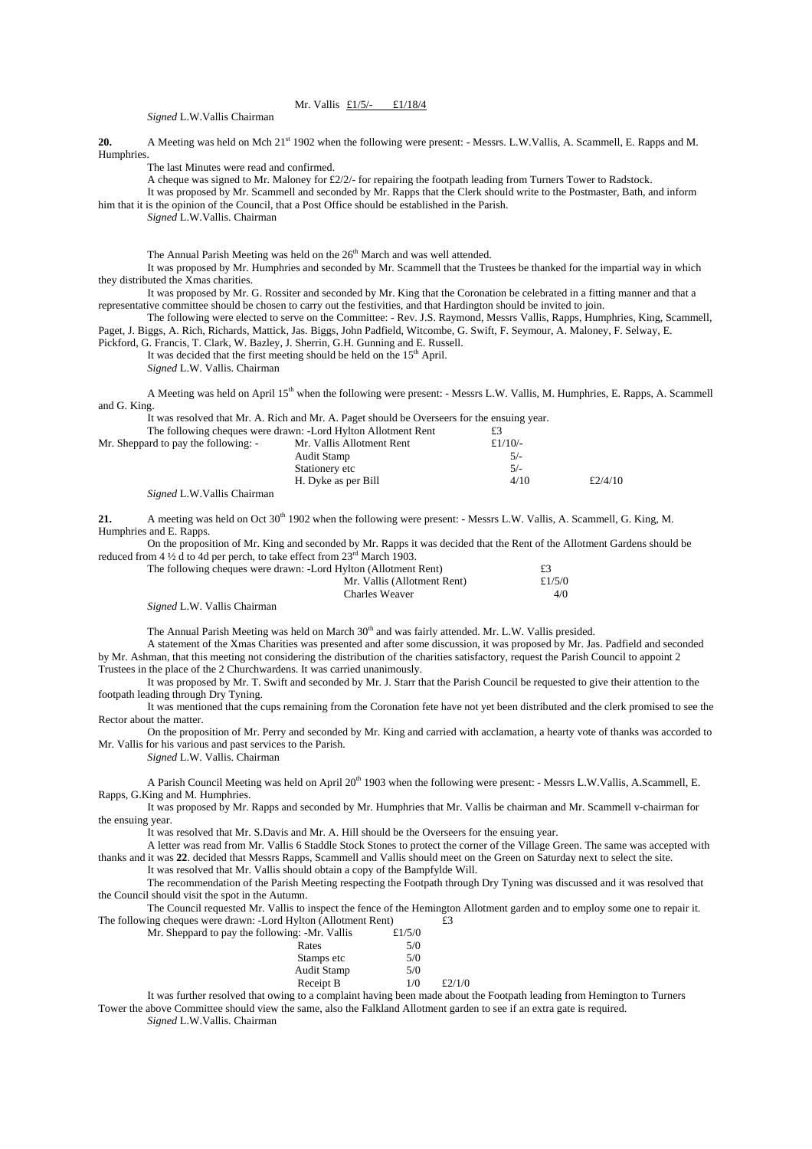## Mr. Vallis £1/5/- £1/18/4

*Signed* L.W.Vallis Chairman

**20.** A Meeting was held on Mch 21st 1902 when the following were present: - Messrs. L.W.Vallis, A. Scammell, E. Rapps and M. **Humphries** 

The last Minutes were read and confirmed.

A cheque was signed to Mr. Maloney for  $\text{\textsterling}2/2$ /- for repairing the footpath leading from Turners Tower to Radstock.

It was proposed by Mr. Scammell and seconded by Mr. Rapps that the Clerk should write to the Postmaster, Bath, and inform him that it is the opinion of the Council, that a Post Office should be established in the Parish.

*Signed* L.W.Vallis. Chairman

The Annual Parish Meeting was held on the 26<sup>th</sup> March and was well attended.

It was proposed by Mr. Humphries and seconded by Mr. Scammell that the Trustees be thanked for the impartial way in which they distributed the Xmas charities.

It was proposed by Mr. G. Rossiter and seconded by Mr. King that the Coronation be celebrated in a fitting manner and that a representative committee should be chosen to carry out the festivities, and that Hardington should be invited to join.

The following were elected to serve on the Committee: - Rev. J.S. Raymond, Messrs Vallis, Rapps, Humphries, King, Scammell, Paget, J. Biggs, A. Rich, Richards, Mattick, Jas. Biggs, John Padfield, Witcombe, G. Swift, F. Seymour, A. Maloney, F. Selway, E.

Pickford, G. Francis, T. Clark, W. Bazley, J. Sherrin, G.H. Gunning and E. Russell. It was decided that the first meeting should be held on the 15<sup>th</sup> April.

*Signed* L.W. Vallis. Chairman

A Meeting was held on April 15<sup>th</sup> when the following were present: - Messrs L.W. Vallis, M. Humphries, E. Rapps, A. Scammell and G. King.

It was resolved that Mr. A. Rich and Mr. A. Paget should be Overseers for the ensuing year.

|                                      | The following cheques were drawn: -Lord Hylton Allotment Rent | £3         |         |
|--------------------------------------|---------------------------------------------------------------|------------|---------|
| Mr. Sheppard to pay the following: - | Mr. Vallis Allotment Rent                                     | £ $1/10/-$ |         |
|                                      | Audit Stamp                                                   | $5/-$      |         |
|                                      | Stationery etc                                                | $5/-$      |         |
|                                      | H. Dyke as per Bill                                           | 4/10       | £2/4/10 |
|                                      |                                                               |            |         |

*Signed* L.W.Vallis Chairman

**21.** A meeting was held on Oct 30<sup>th</sup> 1902 when the following were present: - Messrs L.W. Vallis, A. Scammell, G. King, M. Humphries and E. Rapps.

On the proposition of Mr. King and seconded by Mr. Rapps it was decided that the Rent of the Allotment Gardens should be reduced from  $4\frac{1}{2}$  d to 4d per perch, to take effect from  $23<sup>rd</sup>$  March 1903.

| The following cheques were drawn: -Lord Hylton (Allotment Rent) |           |
|-----------------------------------------------------------------|-----------|
| Mr. Vallis (Allotment Rent)                                     | £ $1/5/0$ |
| Charles Weaver                                                  | 4/0       |
|                                                                 |           |

*Signed* L.W. Vallis Chairman

The Annual Parish Meeting was held on March 30<sup>th</sup> and was fairly attended. Mr. L.W. Vallis presided.

A statement of the Xmas Charities was presented and after some discussion, it was proposed by Mr. Jas. Padfield and seconded by Mr. Ashman, that this meeting not considering the distribution of the charities satisfactory, request the Parish Council to appoint 2 Trustees in the place of the 2 Churchwardens. It was carried unanimously.

It was proposed by Mr. T. Swift and seconded by Mr. J. Starr that the Parish Council be requested to give their attention to the footpath leading through Dry Tyning.

It was mentioned that the cups remaining from the Coronation fete have not yet been distributed and the clerk promised to see the Rector about the matter.

On the proposition of Mr. Perry and seconded by Mr. King and carried with acclamation, a hearty vote of thanks was accorded to Mr. Vallis for his various and past services to the Parish.

*Signed* L.W. Vallis. Chairman

A Parish Council Meeting was held on April 20<sup>th</sup> 1903 when the following were present: - Messrs L.W.Vallis, A.Scammell, E. Rapps, G.King and M. Humphries.

It was proposed by Mr. Rapps and seconded by Mr. Humphries that Mr. Vallis be chairman and Mr. Scammell v-chairman for the ensuing year.

It was resolved that Mr. S.Davis and Mr. A. Hill should be the Overseers for the ensuing year.

A letter was read from Mr. Vallis 6 Staddle Stock Stones to protect the corner of the Village Green. The same was accepted with thanks and it was **22**. decided that Messrs Rapps, Scammell and Vallis should meet on the Green on Saturday next to select the site. It was resolved that Mr. Vallis should obtain a copy of the Bampfylde Will.

The recommendation of the Parish Meeting respecting the Footpath through Dry Tyning was discussed and it was resolved that the Council should visit the spot in the Autumn.

The Council requested Mr. Vallis to inspect the fence of the Hemington Allotment garden and to employ some one to repair it. The following cheques were drawn: -Lord Hylton (Allotment Rent)  $\tilde{E}$ 3

| Mr. Sheppard to pay the following: -Mr. Vallis | £1/5/0 |        |
|------------------------------------------------|--------|--------|
| Rates                                          | 5/0    |        |
| Stamps etc                                     | 5/0    |        |
| <b>Audit Stamp</b>                             | 5/0    |        |
| Receipt B                                      | 1/0    | £2/1/0 |

It was further resolved that owing to a complaint having been made about the Footpath leading from Hemington to Turners Tower the above Committee should view the same, also the Falkland Allotment garden to see if an extra gate is required.

*Signed* L.W.Vallis. Chairman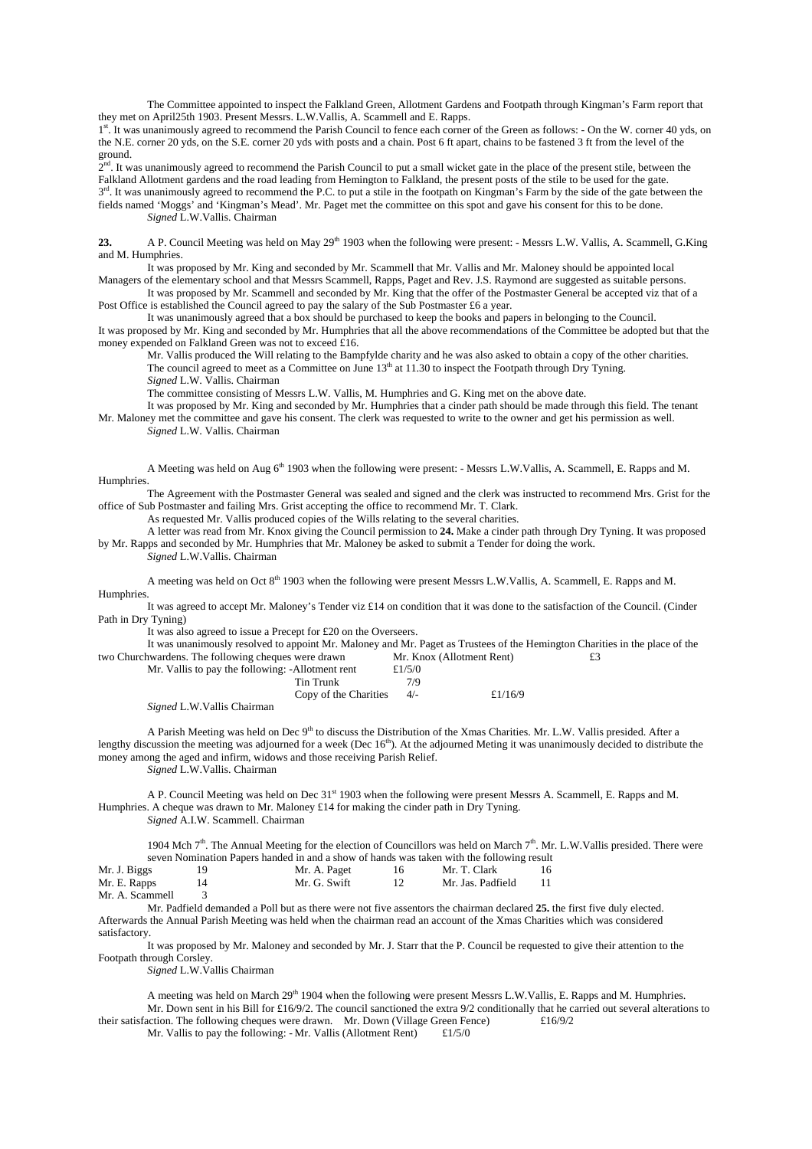The Committee appointed to inspect the Falkland Green, Allotment Gardens and Footpath through Kingman's Farm report that they met on April25th 1903. Present Messrs. L.W.Vallis, A. Scammell and E. Rapps.

1st. It was unanimously agreed to recommend the Parish Council to fence each corner of the Green as follows: - On the W. corner 40 yds, on the N.E. corner 20 yds, on the S.E. corner 20 yds with posts and a chain. Post 6 ft apart, chains to be fastened 3 ft from the level of the ground.

 $2<sup>nd</sup>$ . It was unanimously agreed to recommend the Parish Council to put a small wicket gate in the place of the present stile, between the Falkland Allotment gardens and the road leading from Hemington to Falkland, the present posts of the stile to be used for the gate.  $3<sup>rd</sup>$ . It was unanimously agreed to recommend the P.C. to put a stile in the footpath on Kingman's Farm by the side of the gate between the

fields named 'Moggs' and 'Kingman's Mead'. Mr. Paget met the committee on this spot and gave his consent for this to be done. *Signed* L.W.Vallis. Chairman

**23.** A P. Council Meeting was held on May 29<sup>th</sup> 1903 when the following were present: - Messrs L.W. Vallis, A. Scammell, G.King and M. Humphries.

It was proposed by Mr. King and seconded by Mr. Scammell that Mr. Vallis and Mr. Maloney should be appointed local Managers of the elementary school and that Messrs Scammell, Rapps, Paget and Rev. J.S. Raymond are suggested as suitable persons.

It was proposed by Mr. Scammell and seconded by Mr. King that the offer of the Postmaster General be accepted viz that of a Post Office is established the Council agreed to pay the salary of the Sub Postmaster £6 a year.

It was unanimously agreed that a box should be purchased to keep the books and papers in belonging to the Council. It was proposed by Mr. King and seconded by Mr. Humphries that all the above recommendations of the Committee be adopted but that the money expended on Falkland Green was not to exceed £16.

Mr. Vallis produced the Will relating to the Bampfylde charity and he was also asked to obtain a copy of the other charities. The council agreed to meet as a Committee on June  $13<sup>th</sup>$  at 11.30 to inspect the Footpath through Dry Tyning.

*Signed* L.W. Vallis. Chairman

The committee consisting of Messrs L.W. Vallis, M. Humphries and G. King met on the above date.

It was proposed by Mr. King and seconded by Mr. Humphries that a cinder path should be made through this field. The tenant Mr. Maloney met the committee and gave his consent. The clerk was requested to write to the owner and get his permission as well.

*Signed* L.W. Vallis. Chairman

A Meeting was held on Aug 6<sup>th</sup> 1903 when the following were present: - Messrs L.W.Vallis, A. Scammell, E. Rapps and M. Humphries.

The Agreement with the Postmaster General was sealed and signed and the clerk was instructed to recommend Mrs. Grist for the office of Sub Postmaster and failing Mrs. Grist accepting the office to recommend Mr. T. Clark.

As requested Mr. Vallis produced copies of the Wills relating to the several charities.

A letter was read from Mr. Knox giving the Council permission to **24.** Make a cinder path through Dry Tyning. It was proposed by Mr. Rapps and seconded by Mr. Humphries that Mr. Maloney be asked to submit a Tender for doing the work. *Signed* L.W.Vallis. Chairman

A meeting was held on Oct 8<sup>th</sup> 1903 when the following were present Messrs L.W.Vallis, A. Scammell, E. Rapps and M. Humphries.

It was agreed to accept Mr. Maloney's Tender viz £14 on condition that it was done to the satisfaction of the Council. (Cinder Path in Dry Tyning)

It was also agreed to issue a Precept for £20 on the Overseers.

It was unanimously resolved to appoint Mr. Maloney and Mr. Paget as Trustees of the Hemington Charities in the place of the two Churchwardens. The following cheques were drawn Mr. Knox (Allotment Rent) £3

| Mr. Vallis to pay the following: -Allotment rent |                       | £ $1/5/0$ |            |
|--------------------------------------------------|-----------------------|-----------|------------|
|                                                  | Tin Trunk             | 7/9       |            |
|                                                  | Copy of the Charities | $4/-$     | £ $1/16/9$ |

*Signed* L.W.Vallis Chairman

A Parish Meeting was held on Dec 9<sup>th</sup> to discuss the Distribution of the Xmas Charities. Mr. L.W. Vallis presided. After a lengthy discussion the meeting was adjourned for a week (Dec 16<sup>th</sup>). At the adjourned Meting it was unanimously decided to distribute the money among the aged and infirm, widows and those receiving Parish Relief. *Signed* L.W.Vallis. Chairman

A P. Council Meeting was held on Dec 31st 1903 when the following were present Messrs A. Scammell, E. Rapps and M. Humphries. A cheque was drawn to Mr. Maloney £14 for making the cinder path in Dry Tyning. *Signed* A.I.W. Scammell. Chairman

1904 Mch  $7<sup>th</sup>$ . The Annual Meeting for the election of Councillors was held on March  $7<sup>th</sup>$ . Mr. L.W.Vallis presided. There were seven Nomination Papers handed in and a show of hands was taken with the following result

| Mr. J. Biggs    | Mr. A. Paget | Mr. T. Clark      |  |
|-----------------|--------------|-------------------|--|
| Mr. E. Rapps    | Mr. G. Swift | Mr. Jas. Padfield |  |
| Mr. A. Scammell |              |                   |  |

Mr. Padfield demanded a Poll but as there were not five assentors the chairman declared **25.** the first five duly elected. Afterwards the Annual Parish Meeting was held when the chairman read an account of the Xmas Charities which was considered satisfactory.

It was proposed by Mr. Maloney and seconded by Mr. J. Starr that the P. Council be requested to give their attention to the Footpath through Corsley.

*Signed* L.W.Vallis Chairman

A meeting was held on March  $29<sup>th</sup> 1904$  when the following were present Messrs L.W.Vallis, E. Rapps and M. Humphries. Mr. Down sent in his Bill for £16/9/2. The council sanctioned the extra 9/2 conditionally that he carried out several alterations to their satisfaction. The following cheques were drawn. Mr. Down (Village Green Fence) £16/9/2

Mr. Vallis to pay the following: - Mr. Vallis (Allotment Rent)  $£1/5/0$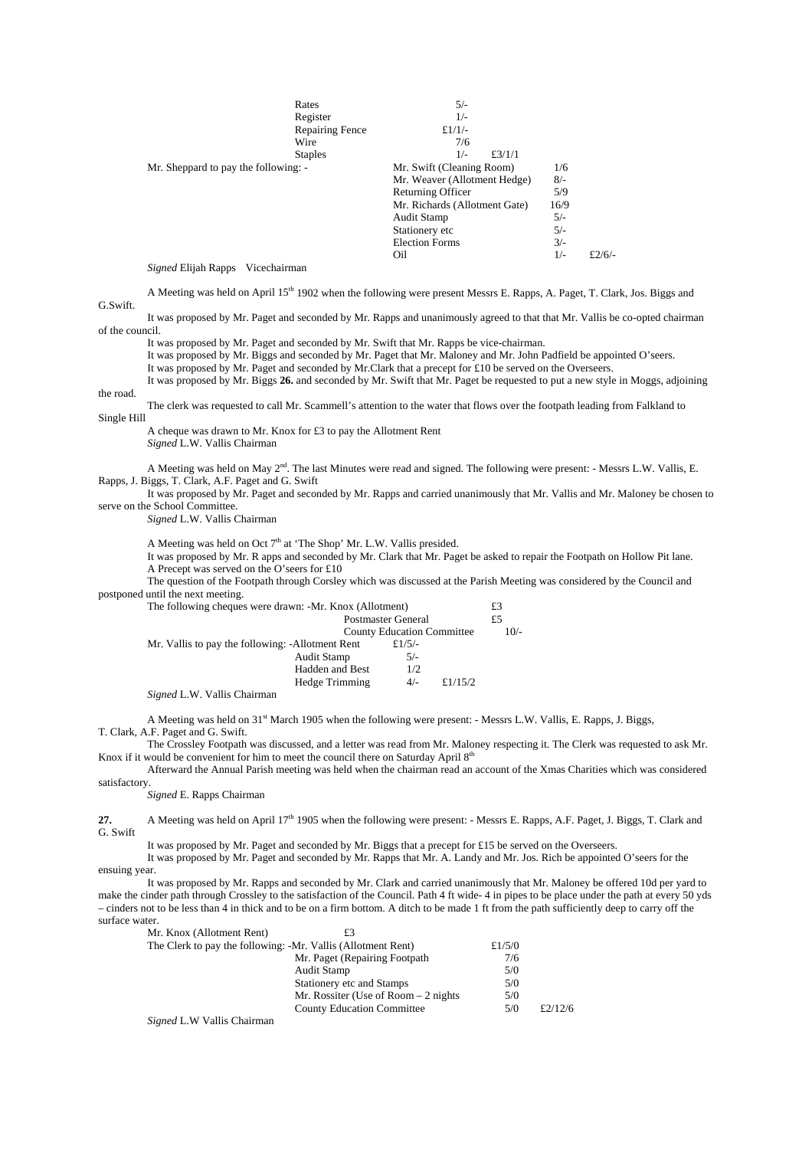|                                      | Rates                  | $5/-$                         |       |            |
|--------------------------------------|------------------------|-------------------------------|-------|------------|
|                                      | Register               | $1/-$                         |       |            |
|                                      | <b>Repairing Fence</b> | £ $1/1/-$                     |       |            |
|                                      | Wire                   | 7/6                           |       |            |
|                                      | <b>Staples</b>         | $1/-$<br>£3/1/1               |       |            |
| Mr. Sheppard to pay the following: - |                        | Mr. Swift (Cleaning Room)     | 1/6   |            |
|                                      |                        | Mr. Weaver (Allotment Hedge)  | $8/-$ |            |
|                                      |                        | Returning Officer             | 5/9   |            |
|                                      |                        | Mr. Richards (Allotment Gate) | 16/9  |            |
|                                      |                        | <b>Audit Stamp</b>            | $5/-$ |            |
|                                      |                        | Stationery etc                | $5/-$ |            |
|                                      |                        | <b>Election Forms</b>         | $3/-$ |            |
|                                      |                        | Oil                           | $1/-$ | £ $2/6/$ - |

*Signed* Elijah Rapps Vicechairman

A Meeting was held on April 15<sup>th</sup> 1902 when the following were present Messrs E. Rapps, A. Paget, T. Clark, Jos. Biggs and G.Swift.

It was proposed by Mr. Paget and seconded by Mr. Rapps and unanimously agreed to that that Mr. Vallis be co-opted chairman of the council.

It was proposed by Mr. Paget and seconded by Mr. Swift that Mr. Rapps be vice-chairman.

It was proposed by Mr. Biggs and seconded by Mr. Paget that Mr. Maloney and Mr. John Padfield be appointed O'seers.

It was proposed by Mr. Paget and seconded by Mr.Clark that a precept for £10 be served on the Overseers.

It was proposed by Mr. Biggs **26.** and seconded by Mr. Swift that Mr. Paget be requested to put a new style in Moggs, adjoining the road.

The clerk was requested to call Mr. Scammell's attention to the water that flows over the footpath leading from Falkland to Single Hill

A cheque was drawn to Mr. Knox for £3 to pay the Allotment Rent

*Signed* L.W. Vallis Chairman

A Meeting was held on May 2nd. The last Minutes were read and signed. The following were present: - Messrs L.W. Vallis, E. Rapps, J. Biggs, T. Clark, A.F. Paget and G. Swift

It was proposed by Mr. Paget and seconded by Mr. Rapps and carried unanimously that Mr. Vallis and Mr. Maloney be chosen to serve on the School Committee.

*Signed* L.W. Vallis Chairman

A Meeting was held on Oct  $7<sup>th</sup>$  at 'The Shop' Mr. L.W. Vallis presided.

It was proposed by Mr. R apps and seconded by Mr. Clark that Mr. Paget be asked to repair the Footpath on Hollow Pit lane. A Precept was served on the O'seers for £10

The question of the Footpath through Corsley which was discussed at the Parish Meeting was considered by the Council and postponed until the next meeting.

| The following cheques were drawn: -Mr. Knox (Allotment)     |                                   |        |  |
|-------------------------------------------------------------|-----------------------------------|--------|--|
|                                                             | <b>Postmaster General</b>         | £5     |  |
|                                                             | <b>County Education Committee</b> | $10/-$ |  |
| Mr. Vallis to pay the following: -Allotment Rent            | £ $1/5/-$                         |        |  |
| Audit Stamp                                                 | $5/-$                             |        |  |
| <b>Hadden and Best</b>                                      | 1/2                               |        |  |
| Hedge Trimming                                              | £ $1/15/2$<br>$4/-$               |        |  |
| $1.7.777.77.11'$ $\sim$ $\sim$ $\sim$ $\sim$<br>$\sim\cdot$ |                                   |        |  |

*Signed* L.W. Vallis Chairman

A Meeting was held on 31<sup>st</sup> March 1905 when the following were present: - Messrs L.W. Vallis, E. Rapps, J. Biggs, T. Clark, A.F. Paget and G. Swift.

The Crossley Footpath was discussed, and a letter was read from Mr. Maloney respecting it. The Clerk was requested to ask Mr. Knox if it would be convenient for him to meet the council there on Saturday April  $8<sup>th</sup>$ 

Afterward the Annual Parish meeting was held when the chairman read an account of the Xmas Charities which was considered satisfactory.

## *Signed* E. Rapps Chairman

**27.** A Meeting was held on April 17<sup>th</sup> 1905 when the following were present: - Messrs E. Rapps, A.F. Paget, J. Biggs, T. Clark and G. Swift

It was proposed by Mr. Paget and seconded by Mr. Biggs that a precept for £15 be served on the Overseers.

It was proposed by Mr. Paget and seconded by Mr. Rapps that Mr. A. Landy and Mr. Jos. Rich be appointed O'seers for the ensuing year.

It was proposed by Mr. Rapps and seconded by Mr. Clark and carried unanimously that Mr. Maloney be offered 10d per yard to make the cinder path through Crossley to the satisfaction of the Council. Path 4 ft wide- 4 in pipes to be place under the path at every 50 yds – cinders not to be less than 4 in thick and to be on a firm bottom. A ditch to be made 1 ft from the path sufficiently deep to carry off the surface water.

| Mr. Knox (Allotment Rent)                                    |                                       |        |         |
|--------------------------------------------------------------|---------------------------------------|--------|---------|
| The Clerk to pay the following: -Mr. Vallis (Allotment Rent) |                                       | £1/5/0 |         |
|                                                              | Mr. Paget (Repairing Footpath)        | 7/6    |         |
|                                                              | Audit Stamp                           | 5/0    |         |
|                                                              | Stationery etc and Stamps             | 5/0    |         |
|                                                              | Mr. Rossiter (Use of Room $-2$ nights | 5/0    |         |
|                                                              | <b>County Education Committee</b>     | 5/0    | £2/12/6 |
|                                                              |                                       |        |         |

*Signed* L.W Vallis Chairman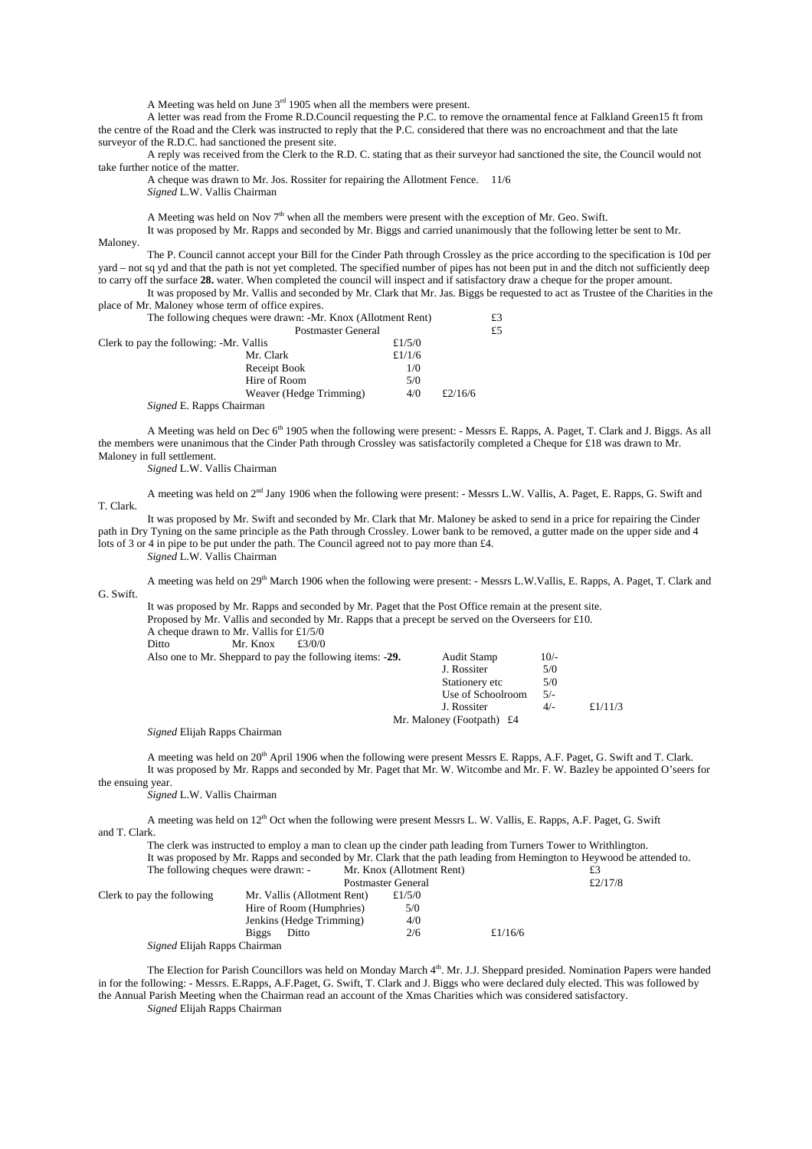A Meeting was held on June  $3<sup>rd</sup>$  1905 when all the members were present.

A letter was read from the Frome R.D.Council requesting the P.C. to remove the ornamental fence at Falkland Green15 ft from the centre of the Road and the Clerk was instructed to reply that the P.C. considered that there was no encroachment and that the late surveyor of the R.D.C. had sanctioned the present site.

A reply was received from the Clerk to the R.D. C. stating that as their surveyor had sanctioned the site, the Council would not take further notice of the matter.

A cheque was drawn to Mr. Jos. Rossiter for repairing the Allotment Fence. 11/6 *Signed* L.W. Vallis Chairman

A Meeting was held on Nov  $7<sup>th</sup>$  when all the members were present with the exception of Mr. Geo. Swift.

It was proposed by Mr. Rapps and seconded by Mr. Biggs and carried unanimously that the following letter be sent to Mr. Maloney.

The P. Council cannot accept your Bill for the Cinder Path through Crossley as the price according to the specification is 10d per yard – not sq yd and that the path is not yet completed. The specified number of pipes has not been put in and the ditch not sufficiently deep to carry off the surface **28.** water. When completed the council will inspect and if satisfactory draw a cheque for the proper amount.

It was proposed by Mr. Vallis and seconded by Mr. Clark that Mr. Jas. Biggs be requested to act as Trustee of the Charities in the place of Mr. Maloney whose term of office expires.

| The following cheques were drawn: -Mr. Knox (Allotment Rent)<br><b>Postmaster General</b> |           |         | £3 |
|-------------------------------------------------------------------------------------------|-----------|---------|----|
|                                                                                           |           |         | £5 |
| Clerk to pay the following: -Mr. Vallis                                                   | £ $1/5/0$ |         |    |
| Mr. Clark                                                                                 | £ $1/1/6$ |         |    |
| Receipt Book                                                                              | 1/0       |         |    |
| Hire of Room                                                                              | 5/0       |         |    |
| Weaver (Hedge Trimming)                                                                   | 4/0       | £2/16/6 |    |
| <i>Signed</i> E. Rapps Chairman                                                           |           |         |    |

A Meeting was held on Dec 6<sup>th</sup> 1905 when the following were present: - Messrs E. Rapps, A. Paget, T. Clark and J. Biggs. As all the members were unanimous that the Cinder Path through Crossley was satisfactorily completed a Cheque for £18 was drawn to Mr. Maloney in full settlement.

*Signed* L.W. Vallis Chairman

A meeting was held on 2<sup>nd</sup> Jany 1906 when the following were present: - Messrs L.W. Vallis, A. Paget, E. Rapps, G. Swift and T. Clark.

It was proposed by Mr. Swift and seconded by Mr. Clark that Mr. Maloney be asked to send in a price for repairing the Cinder path in Dry Tyning on the same principle as the Path through Crossley. Lower bank to be removed, a gutter made on the upper side and 4 lots of 3 or 4 in pipe to be put under the path. The Council agreed not to pay more than £4.

*Signed* L.W. Vallis Chairman

A meeting was held on 29<sup>th</sup> March 1906 when the following were present: - Messrs L.W.Vallis, E. Rapps, A. Paget, T. Clark and G. Swift.

It was proposed by Mr. Rapps and seconded by Mr. Paget that the Post Office remain at the present site. Proposed by Mr. Vallis and seconded by Mr. Rapps that a precept be served on the Overseers for £10. A cheque drawn to Mr. Vallis for £1/5/0<br>Ditto Mr. Knox £3/0/0 Mr. Knox Also one to Mr. Sheppard to pay the following items: -29. Audit Stamp 10/- J. Rossiter 5/0 Stationery etc 5/0<br>Use of Schoolroom 5/-

*Signed* Elijah Rapps Chairman

A meeting was held on 20<sup>th</sup> April 1906 when the following were present Messrs E. Rapps, A.F. Paget, G. Swift and T. Clark. It was proposed by Mr. Rapps and seconded by Mr. Paget that Mr. W. Witcombe and Mr. F. W. Bazley be appointed O'seers for

Use of Schoolroom

Mr. Maloney (Footpath) £4

J. Rossiter 4/- £1/11/3

the ensuing year.

*Signed* L.W. Vallis Chairman

A meeting was held on  $12<sup>th</sup>$  Oct when the following were present Messrs L. W. Vallis, E. Rapps, A.F. Paget, G. Swift and T. Clark.

The clerk was instructed to employ a man to clean up the cinder path leading from Turners Tower to Writhlington. It was proposed by Mr. Rapps and seconded by Mr. Clark that the path leading from Hemington to Heywood be attended to.

|                              | The following cheques were drawn: - | Mr. Knox (Allotment Rent) |            | £3         |
|------------------------------|-------------------------------------|---------------------------|------------|------------|
|                              |                                     | <b>Postmaster General</b> |            | £ $2/17/8$ |
| Clerk to pay the following   | Mr. Vallis (Allotment Rent)         | £ $1/5/0$                 |            |            |
|                              | Hire of Room (Humphries)            | 5/0                       |            |            |
|                              | Jenkins (Hedge Trimming)            | 4/0                       |            |            |
|                              | Ditto<br>Biggs                      | 2/6                       | £ $1/16/6$ |            |
| Signed Elijah Rapps Chairman |                                     |                           |            |            |

The Election for Parish Councillors was held on Monday March 4<sup>th</sup>. Mr. J.J. Sheppard presided. Nomination Papers were handed in for the following: - Messrs. E.Rapps, A.F.Paget, G. Swift, T. Clark and J. Biggs who were declared duly elected. This was followed by the Annual Parish Meeting when the Chairman read an account of the Xmas Charities which was considered satisfactory. *Signed* Elijah Rapps Chairman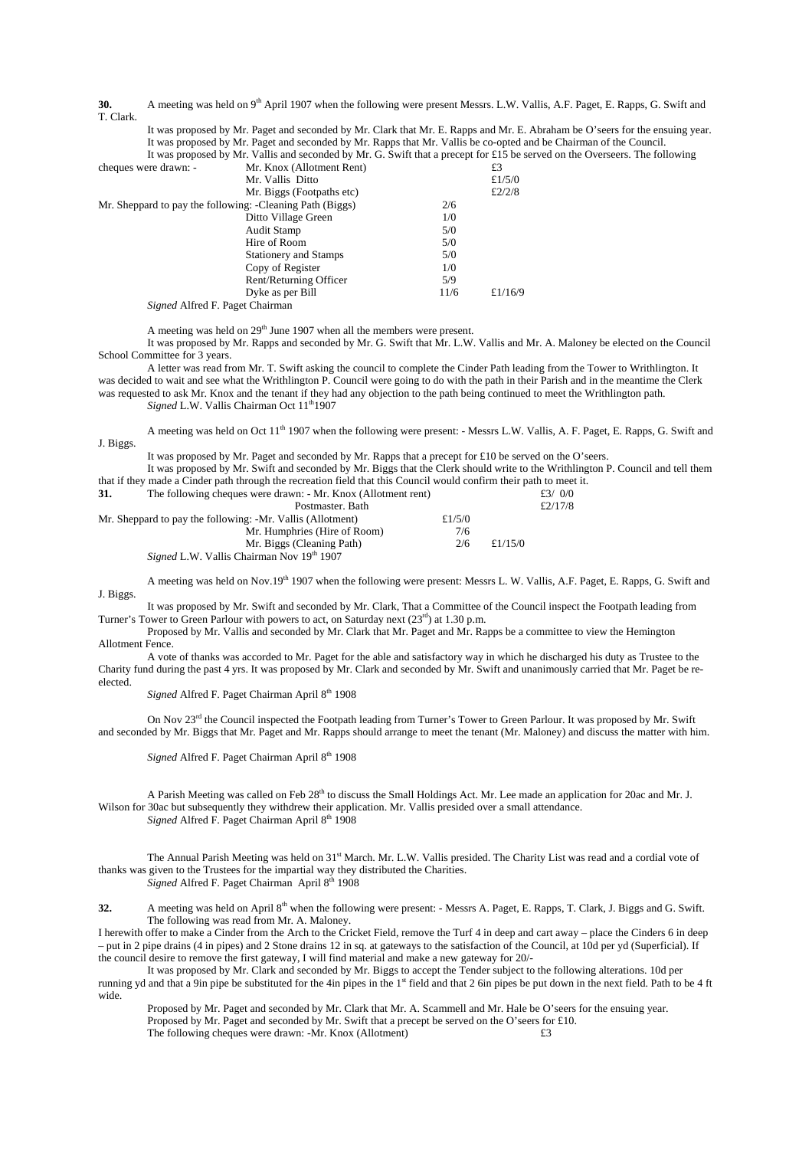**30.** A meeting was held on 9<sup>th</sup> April 1907 when the following were present Messrs. L.W. Vallis, A.F. Paget, E. Rapps, G. Swift and T. Clark.

It was proposed by Mr. Paget and seconded by Mr. Clark that Mr. E. Rapps and Mr. E. Abraham be O'seers for the ensuing year. It was proposed by Mr. Paget and seconded by Mr. Rapps that Mr. Vallis be co-opted and be Chairman of the Council.

It was proposed by Mr. Vallis and seconded by Mr. G. Swift that a precept for £15 be served on the Overseers. The following cheques were drawn: - Mr. Knox (Allotment Rent)  $£3$ 

|                                                                  | Mr. Vallis Ditto             |      | £1/5/0     |
|------------------------------------------------------------------|------------------------------|------|------------|
|                                                                  | Mr. Biggs (Footpaths etc)    |      | £2/2/8     |
| Mr. Sheppard to pay the following: -Cleaning Path (Biggs)<br>2/6 |                              |      |            |
|                                                                  | Ditto Village Green          | 1/0  |            |
|                                                                  | <b>Audit Stamp</b>           | 5/0  |            |
|                                                                  | Hire of Room                 | 5/0  |            |
|                                                                  | <b>Stationery and Stamps</b> | 5/0  |            |
|                                                                  | Copy of Register             | 1/0  |            |
|                                                                  | Rent/Returning Officer       | 5/9  |            |
|                                                                  | Dyke as per Bill             | 11/6 | £ $1/16/9$ |
|                                                                  |                              |      |            |

*Signed* Alfred F. Paget Chairman

A meeting was held on  $29<sup>th</sup>$  June 1907 when all the members were present.

It was proposed by Mr. Rapps and seconded by Mr. G. Swift that Mr. L.W. Vallis and Mr. A. Maloney be elected on the Council School Committee for 3 years.

A letter was read from Mr. T. Swift asking the council to complete the Cinder Path leading from the Tower to Writhlington. It was decided to wait and see what the Writhlington P. Council were going to do with the path in their Parish and in the meantime the Clerk was requested to ask Mr. Knox and the tenant if they had any objection to the path being continued to meet the Writhlington path. *Signed* L.W. Vallis Chairman Oct  $11<sup>th</sup>1907$ 

A meeting was held on Oct 11<sup>th</sup> 1907 when the following were present: - Messrs L.W. Vallis, A. F. Paget, E. Rapps, G. Swift and J. Biggs.

It was proposed by Mr. Paget and seconded by Mr. Rapps that a precept for £10 be served on the O'seers.

It was proposed by Mr. Swift and seconded by Mr. Biggs that the Clerk should write to the Writhlington P. Council and tell them that if they made a Cinder path through the recreation field that this Council would confirm their path to meet it.

**31.** The following cheques were drawn: - Mr. Knox (Allotment rent)  $\frac{£3/0/0}{£2/17/8}$ Postmaster. Bath Mr. Sheppard to pay the following: -Mr. Vallis (Allotment)  $£1/5/0$ 

| Mr. Sheppard to pay the following: -Mr. Vallis (Allotment)   | £1/5/0 |         |  |
|--------------------------------------------------------------|--------|---------|--|
| Mr. Humphries (Hire of Room)                                 | 7/6    |         |  |
| Mr. Biggs (Cleaning Path)                                    | 2/6    | £1/15/0 |  |
| <i>Signed</i> L.W. Vallis Chairman Nov 19 <sup>th</sup> 1907 |        |         |  |

A meeting was held on Nov.19<sup>th</sup> 1907 when the following were present: Messrs L. W. Vallis, A.F. Paget, E. Rapps, G. Swift and J. Biggs.

It was proposed by Mr. Swift and seconded by Mr. Clark, That a Committee of the Council inspect the Footpath leading from Turner's Tower to Green Parlour with powers to act, on Saturday next (23<sup>rd</sup>) at 1.30 p.m.

Proposed by Mr. Vallis and seconded by Mr. Clark that Mr. Paget and Mr. Rapps be a committee to view the Hemington Allotment Fence.

A vote of thanks was accorded to Mr. Paget for the able and satisfactory way in which he discharged his duty as Trustee to the Charity fund during the past 4 yrs. It was proposed by Mr. Clark and seconded by Mr. Swift and unanimously carried that Mr. Paget be reelected.

*Signed* Alfred F. Paget Chairman April 8<sup>th</sup> 1908

On Nov 23<sup>rd</sup> the Council inspected the Footpath leading from Turner's Tower to Green Parlour. It was proposed by Mr. Swift and seconded by Mr. Biggs that Mr. Paget and Mr. Rapps should arrange to meet the tenant (Mr. Maloney) and discuss the matter with him.

Signed Alfred F. Paget Chairman April 8<sup>th</sup> 1908

A Parish Meeting was called on Feb 28<sup>th</sup> to discuss the Small Holdings Act. Mr. Lee made an application for 20ac and Mr. J. Wilson for 30ac but subsequently they withdrew their application. Mr. Vallis presided over a small attendance. *Signed* Alfred F. Paget Chairman April 8<sup>th</sup> 1908

The Annual Parish Meeting was held on 31<sup>st</sup> March. Mr. L.W. Vallis presided. The Charity List was read and a cordial vote of thanks was given to the Trustees for the impartial way they distributed the Charities. *Signed* Alfred F. Paget Chairman April 8th 1908

**32.** A meeting was held on April 8th when the following were present: - Messrs A. Paget, E. Rapps, T. Clark, J. Biggs and G. Swift. The following was read from Mr. A. Maloney.

I herewith offer to make a Cinder from the Arch to the Cricket Field, remove the Turf 4 in deep and cart away – place the Cinders 6 in deep – put in 2 pipe drains (4 in pipes) and 2 Stone drains 12 in sq. at gateways to the satisfaction of the Council, at 10d per yd (Superficial). If the council desire to remove the first gateway, I will find material and make a new gateway for 20/-

It was proposed by Mr. Clark and seconded by Mr. Biggs to accept the Tender subject to the following alterations. 10d per running yd and that a 9in pipe be substituted for the 4in pipes in the 1st field and that 2 6in pipes be put down in the next field. Path to be 4 ft wide.

Proposed by Mr. Paget and seconded by Mr. Clark that Mr. A. Scammell and Mr. Hale be O'seers for the ensuing year. Proposed by Mr. Paget and seconded by Mr. Swift that a precept be served on the O'seers for £10. The following cheques were drawn: -Mr. Knox (Allotment)  $£3$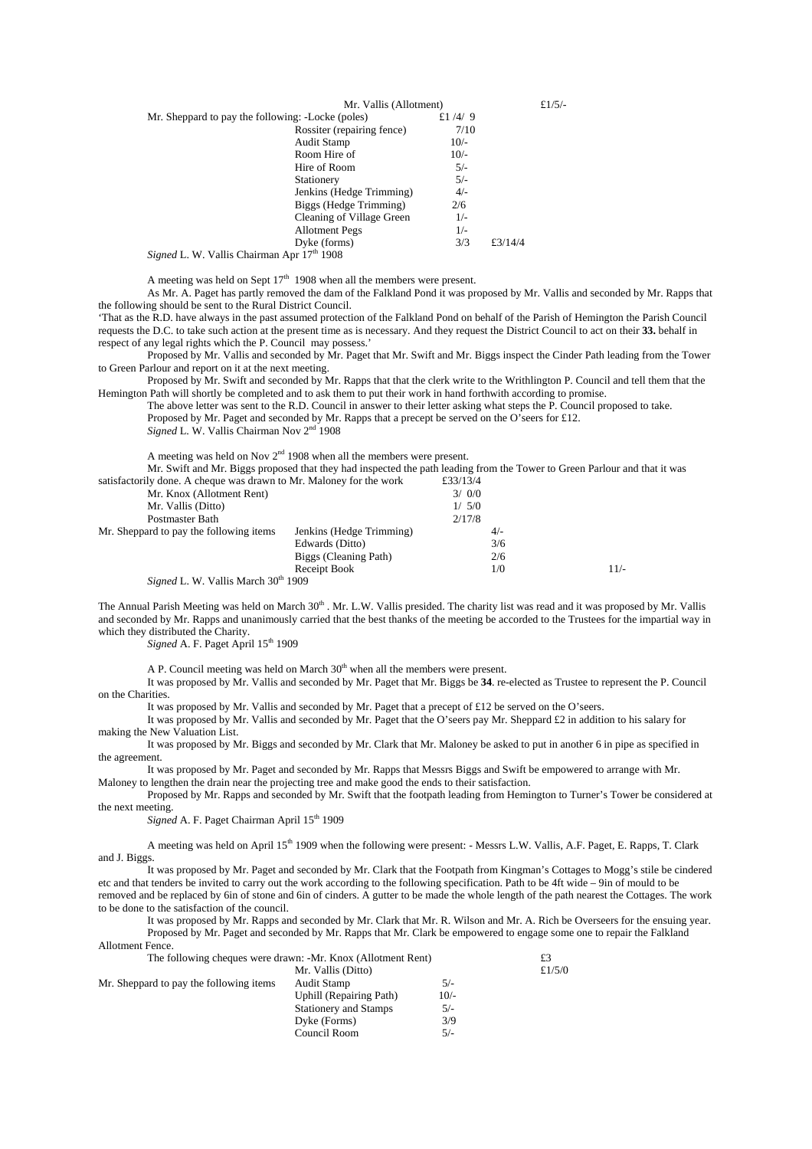| Mr. Vallis (Allotment)                            |           | £ $1/5/-$ |  |
|---------------------------------------------------|-----------|-----------|--|
| Mr. Sheppard to pay the following: -Locke (poles) | £ $1/4/9$ |           |  |
| Rossiter (repairing fence)                        | 7/10      |           |  |
| Audit Stamp                                       | $10/-$    |           |  |
| Room Hire of                                      | $10/-$    |           |  |
| Hire of Room                                      | $5/-$     |           |  |
| Stationery                                        | $5/-$     |           |  |
| Jenkins (Hedge Trimming)                          | $4/-$     |           |  |
| Biggs (Hedge Trimming)                            | 2/6       |           |  |
| Cleaning of Village Green                         | $1/-$     |           |  |
| <b>Allotment Pegs</b>                             | $1/-$     |           |  |
| Dyke (forms)                                      | 3/3       | £3/14/4   |  |
| Signed L. W. Vallis Chairman Apr 17th 1908        |           |           |  |

A meeting was held on Sept  $17<sup>th</sup>$  1908 when all the members were present.

As Mr. A. Paget has partly removed the dam of the Falkland Pond it was proposed by Mr. Vallis and seconded by Mr. Rapps that the following should be sent to the Rural District Council.

'That as the R.D. have always in the past assumed protection of the Falkland Pond on behalf of the Parish of Hemington the Parish Council requests the D.C. to take such action at the present time as is necessary. And they request the District Council to act on their **33.** behalf in respect of any legal rights which the P. Council may possess.'

Proposed by Mr. Vallis and seconded by Mr. Paget that Mr. Swift and Mr. Biggs inspect the Cinder Path leading from the Tower to Green Parlour and report on it at the next meeting.

Proposed by Mr. Swift and seconded by Mr. Rapps that that the clerk write to the Writhlington P. Council and tell them that the Hemington Path will shortly be completed and to ask them to put their work in hand forthwith according to promise.

The above letter was sent to the R.D. Council in answer to their letter asking what steps the P. Council proposed to take. Proposed by Mr. Paget and seconded by Mr. Rapps that a precept be served on the O'seers for £12.

*Signed* L. W. Vallis Chairman Nov 2nd 1908

A meeting was held on Nov  $2<sup>nd</sup>$  1908 when all the members were present.

Mr. Swift and Mr. Biggs proposed that they had inspected the path leading from the Tower to Green Parlour and that it was  $\frac{1}{3}$  such that  $\frac{1}{3}$  cheque was drawn to Mr. Maloney for the work

| sausiacionly done. A cheque was drawn to MI. Maioney for the work |                          | £33/13/4 |        |
|-------------------------------------------------------------------|--------------------------|----------|--------|
| Mr. Knox (Allotment Rent)                                         |                          | 3/0/0    |        |
| Mr. Vallis (Ditto)                                                |                          | 1/5/0    |        |
| Postmaster Bath                                                   |                          | 2/17/8   |        |
| Mr. Sheppard to pay the following items                           | Jenkins (Hedge Trimming) | $4/-$    |        |
|                                                                   | Edwards (Ditto)          | 3/6      |        |
|                                                                   | Biggs (Cleaning Path)    | 2/6      |        |
|                                                                   | Receipt Book             | 1/0      | $11/-$ |
| Signed L. W. Vallis March 30 <sup>th</sup> 1909                   |                          |          |        |
|                                                                   |                          |          |        |

The Annual Parish Meeting was held on March  $30<sup>th</sup>$ . Mr. L.W. Vallis presided. The charity list was read and it was proposed by Mr. Vallis and seconded by Mr. Rapps and unanimously carried that the best thanks of the meeting be accorded to the Trustees for the impartial way in which they distributed the Charity.

*Signed* A. F. Paget April 15<sup>th</sup> 1909

A P. Council meeting was held on March  $30<sup>th</sup>$  when all the members were present.

It was proposed by Mr. Vallis and seconded by Mr. Paget that Mr. Biggs be **34**. re-elected as Trustee to represent the P. Council on the Charities.

It was proposed by Mr. Vallis and seconded by Mr. Paget that a precept of £12 be served on the O'seers.

It was proposed by Mr. Vallis and seconded by Mr. Paget that the O'seers pay Mr. Sheppard £2 in addition to his salary for making the New Valuation List.

It was proposed by Mr. Biggs and seconded by Mr. Clark that Mr. Maloney be asked to put in another 6 in pipe as specified in the agreement.

It was proposed by Mr. Paget and seconded by Mr. Rapps that Messrs Biggs and Swift be empowered to arrange with Mr. Maloney to lengthen the drain near the projecting tree and make good the ends to their satisfaction.

Proposed by Mr. Rapps and seconded by Mr. Swift that the footpath leading from Hemington to Turner's Tower be considered at the next meeting.

*Signed* A. F. Paget Chairman April 15<sup>th</sup> 1909

Allotment Fence.

A meeting was held on April 15th 1909 when the following were present: - Messrs L.W. Vallis, A.F. Paget, E. Rapps, T. Clark and J. Biggs.

It was proposed by Mr. Paget and seconded by Mr. Clark that the Footpath from Kingman's Cottages to Mogg's stile be cindered etc and that tenders be invited to carry out the work according to the following specification. Path to be 4ft wide – 9in of mould to be removed and be replaced by 6in of stone and 6in of cinders. A gutter to be made the whole length of the path nearest the Cottages. The work to be done to the satisfaction of the council.

It was proposed by Mr. Rapps and seconded by Mr. Clark that Mr. R. Wilson and Mr. A. Rich be Overseers for the ensuing year. Proposed by Mr. Paget and seconded by Mr. Rapps that Mr. Clark be empowered to engage some one to repair the Falkland

| лнопнеш генес.                                               |                              |        |           |
|--------------------------------------------------------------|------------------------------|--------|-----------|
| The following cheques were drawn: -Mr. Knox (Allotment Rent) |                              |        | £3        |
| Mr. Vallis (Ditto)                                           |                              |        | £ $1/5/0$ |
| Mr. Sheppard to pay the following items                      | Audit Stamp                  | $5/-$  |           |
|                                                              | Uphill (Repairing Path)      | $10/-$ |           |
|                                                              | <b>Stationery and Stamps</b> | $5/-$  |           |
|                                                              | Dyke (Forms)                 | 3/9    |           |
|                                                              | Council Room                 | $5/-$  |           |
|                                                              |                              |        |           |